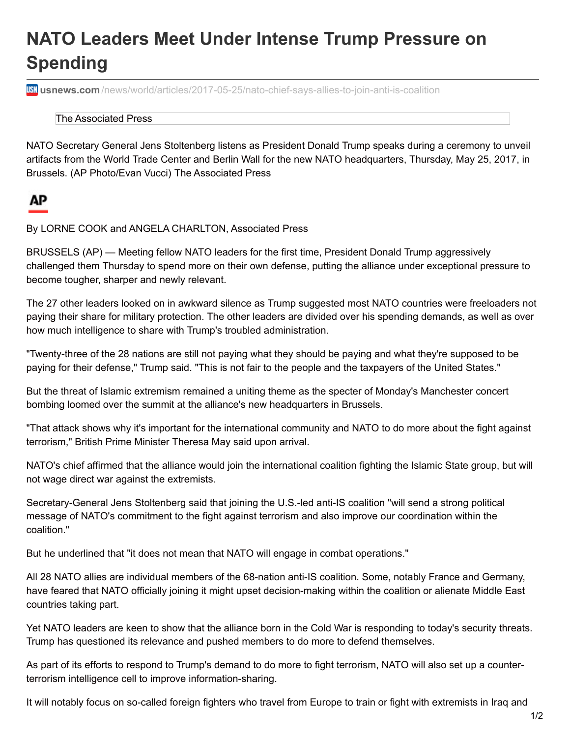## **NATO Leaders Meet Under Intense Trump Pressure on Spending**

**usnews.com** [/news/world/articles/2017-05-25/nato-chief-says-allies-to-join-anti-is-coalition](https://www.usnews.com/news/world/articles/2017-05-25/nato-chief-says-allies-to-join-anti-is-coalition)

The Associated Press

NATO Secretary General Jens Stoltenberg listens as President Donald Trump speaks during a ceremony to unveil artifacts from the World Trade Center and Berlin Wall for the new NATO headquarters, Thursday, May 25, 2017, in Brussels. (AP Photo/Evan Vucci) The Associated Press

## ΑP

By LORNE COOK and ANGELA CHARLTON, Associated Press

BRUSSELS (AP) — Meeting fellow NATO leaders for the first time, President Donald Trump aggressively challenged them Thursday to spend more on their own defense, putting the alliance under exceptional pressure to become tougher, sharper and newly relevant.

The 27 other leaders looked on in awkward silence as Trump suggested most NATO countries were freeloaders not paying their share for military protection. The other leaders are divided over his spending demands, as well as over how much intelligence to share with Trump's troubled administration.

"Twenty-three of the 28 nations are still not paying what they should be paying and what they're supposed to be paying for their defense," Trump said. "This is not fair to the people and the taxpayers of the United States."

But the threat of Islamic extremism remained a uniting theme as the specter of Monday's Manchester concert bombing loomed over the summit at the alliance's new headquarters in Brussels.

"That attack shows why it's important for the international community and NATO to do more about the fight against terrorism," British Prime Minister Theresa May said upon arrival.

NATO's chief affirmed that the alliance would join the international coalition fighting the Islamic State group, but will not wage direct war against the extremists.

Secretary-General Jens Stoltenberg said that joining the U.S.-led anti-IS coalition "will send a strong political message of NATO's commitment to the fight against terrorism and also improve our coordination within the coalition."

But he underlined that "it does not mean that NATO will engage in combat operations."

All 28 NATO allies are individual members of the 68-nation anti-IS coalition. Some, notably France and Germany, have feared that NATO officially joining it might upset decision-making within the coalition or alienate Middle East countries taking part.

Yet NATO leaders are keen to show that the alliance born in the Cold War is responding to today's security threats. Trump has questioned its relevance and pushed members to do more to defend themselves.

As part of its efforts to respond to Trump's demand to do more to fight terrorism, NATO will also set up a counterterrorism intelligence cell to improve information-sharing.

It will notably focus on so-called foreign fighters who travel from Europe to train or fight with extremists in Iraq and